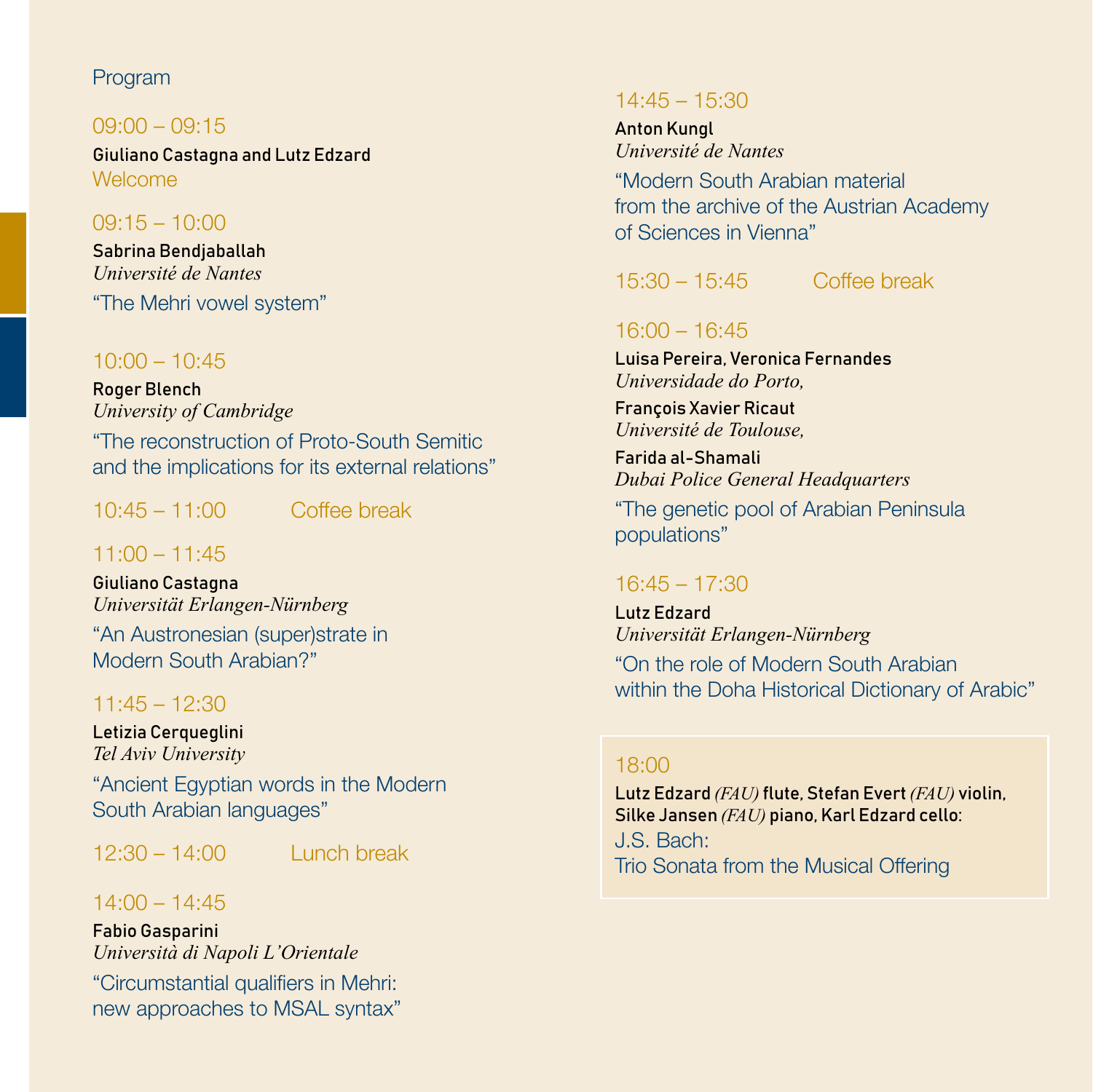#### Program

#### $09:00 - 09:15$

Giuliano Castagna and Lutz Edzard Welcome

#### 09:15 – 10:00

Sabrina Bendjaballah *Université de Nantes* "The Mehri vowel system"

### $10:00 - 10:45$

Roger Blench *University of Cambridge* "The reconstruction of Proto-South Semitic and the implications for its external relations"

10:45 – 11:00 Coffee break

### $11:00 - 11:45$

Giuliano Castagna *Universität Erlangen-Nürnberg*

"An Austronesian (super)strate in Modern South Arabian?"

### 11:45 – 12:30

Letizia Cerqueglini *Tel Aviv University*

"Ancient Egyptian words in the Modern South Arabian languages"

 $12:30 - 14:00$  Lunch break

# 14:00 – 14:45

Fabio Gasparini *Università di Napoli L'Orientale* "Circumstantial qualifiers in Mehri: new approaches to MSAL syntax"

#### 14:45 – 15:30

Anton Kungl *Université de Nantes*

"Modern South Arabian material from the archive of the Austrian Academy of Sciences in Vienna"

# 15:30 – 15:45 Coffee break

### 16:00 – 16:45

Luisa Pereira, Veronica Fernandes *Universidade do Porto,*

François Xavier Ricaut *Université de Toulouse,*

Farida al-Shamali *Dubai Police General Headquarters*

"The genetic pool of Arabian Peninsula populations"

### 16:45 – 17:30

Lutz Edzard *Universität Erlangen-Nürnberg* "On the role of Modern South Arabian within the Doha Historical Dictionary of Arabic"

#### 18:00

Lutz Edzard *(FAU)* flute, Stefan Evert *(FAU)* violin, Silke Jansen *(FAU)* piano, Karl Edzard cello: J.S. Bach: Trio Sonata from the Musical Offering